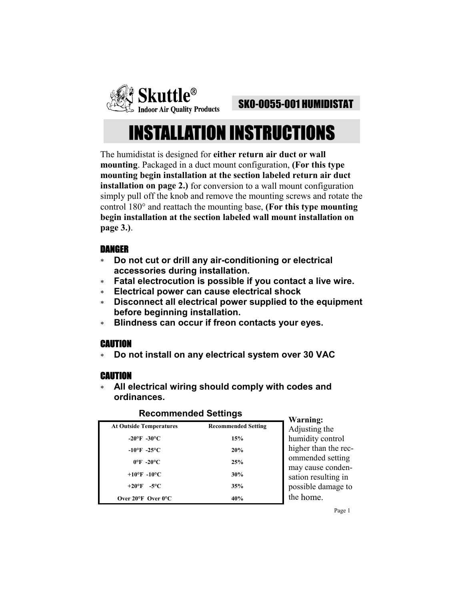

### SK0-0055-001 HUMIDISTAT

# INSTALLATION INSTRUCTIONS

The humidistat is designed for **either return air duct or wall mounting**. Packaged in a duct mount configuration, **(For this type mounting begin installation at the section labeled return air duct installation on page 2.)** for conversion to a wall mount configuration simply pull off the knob and remove the mounting screws and rotate the control 180° and reattach the mounting base, **(For this type mounting begin installation at the section labeled wall mount installation on page 3.)**.

### DANGER

- ∗ **Do not cut or drill any air-conditioning or electrical accessories during installation.**
- ∗ **Fatal electrocution is possible if you contact a live wire.**
- ∗ **Electrical power can cause electrical shock**
- ∗ **Disconnect all electrical power supplied to the equipment before beginning installation.**
- ∗ **Blindness can occur if freon contacts your eyes.**

### CAUTION

∗ **Do not install on any electrical system over 30 VAC** 

### CAUTION

∗ **All electrical wiring should comply with codes and ordinances.** 

### **Recommended Settings Warning:**

|                                                   |                            | warming:                  |
|---------------------------------------------------|----------------------------|---------------------------|
| <b>At Outside Temperatures</b>                    | <b>Recommended Setting</b> | Adjusting t               |
| $-20^{\circ}$ F $-30^{\circ}$ C                   | 15%                        | humidity co               |
| $-10^{\circ}$ F $-25^{\circ}$ C                   | 20%                        | higher than               |
| $0^{\circ}$ F -20 $^{\circ}$ C                    | 25%                        | ommended                  |
| +10 $\mathrm{^{\circ}F}$ -10 $\mathrm{^{\circ}C}$ | 30%                        | may cause<br>sation resul |
| $+20^{\circ}F$<br>-5°C.                           | 35%                        | possible da               |
| Over $20^{\circ}$ F Over $0^{\circ}$ C            | 40%                        | the home.                 |

the control in the recd setting e condenulting in lamage to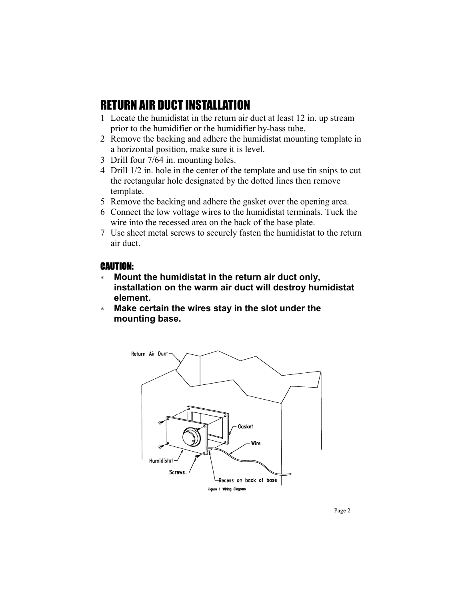# RETURN AIR DUCT INSTALLATION

- 1 Locate the humidistat in the return air duct at least 12 in. up stream prior to the humidifier or the humidifier by-bass tube.
- 2 Remove the backing and adhere the humidistat mounting template in a horizontal position, make sure it is level.
- 3 Drill four 7/64 in. mounting holes.
- 4 Drill 1/2 in. hole in the center of the template and use tin snips to cut the rectangular hole designated by the dotted lines then remove template.
- 5 Remove the backing and adhere the gasket over the opening area.
- 6 Connect the low voltage wires to the humidistat terminals. Tuck the wire into the recessed area on the back of the base plate.
- 7 Use sheet metal screws to securely fasten the humidistat to the return air duct.

#### CAUTION:

- ∗ **Mount the humidistat in the return air duct only, installation on the warm air duct will destroy humidistat element.**
- ∗ **Make certain the wires stay in the slot under the mounting base.**

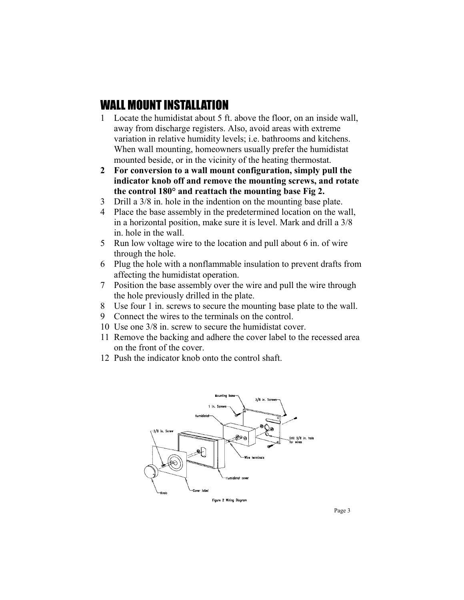## WALL MOUNT INSTALLATION

- 1 Locate the humidistat about 5 ft. above the floor, on an inside wall, away from discharge registers. Also, avoid areas with extreme variation in relative humidity levels; i.e. bathrooms and kitchens. When wall mounting, homeowners usually prefer the humidistat mounted beside, or in the vicinity of the heating thermostat.
- **2 For conversion to a wall mount configuration, simply pull the indicator knob off and remove the mounting screws, and rotate the control 180° and reattach the mounting base Fig 2.**
- 3 Drill a 3/8 in. hole in the indention on the mounting base plate.
- 4 Place the base assembly in the predetermined location on the wall, in a horizontal position, make sure it is level. Mark and drill a 3/8 in. hole in the wall.
- 5 Run low voltage wire to the location and pull about 6 in. of wire through the hole.
- 6 Plug the hole with a nonflammable insulation to prevent drafts from affecting the humidistat operation.
- 7 Position the base assembly over the wire and pull the wire through the hole previously drilled in the plate.
- 8 Use four 1 in. screws to secure the mounting base plate to the wall.
- 9 Connect the wires to the terminals on the control.
- 10 Use one 3/8 in. screw to secure the humidistat cover.
- 11 Remove the backing and adhere the cover label to the recessed area on the front of the cover.
- 12 Push the indicator knob onto the control shaft.



Page 3